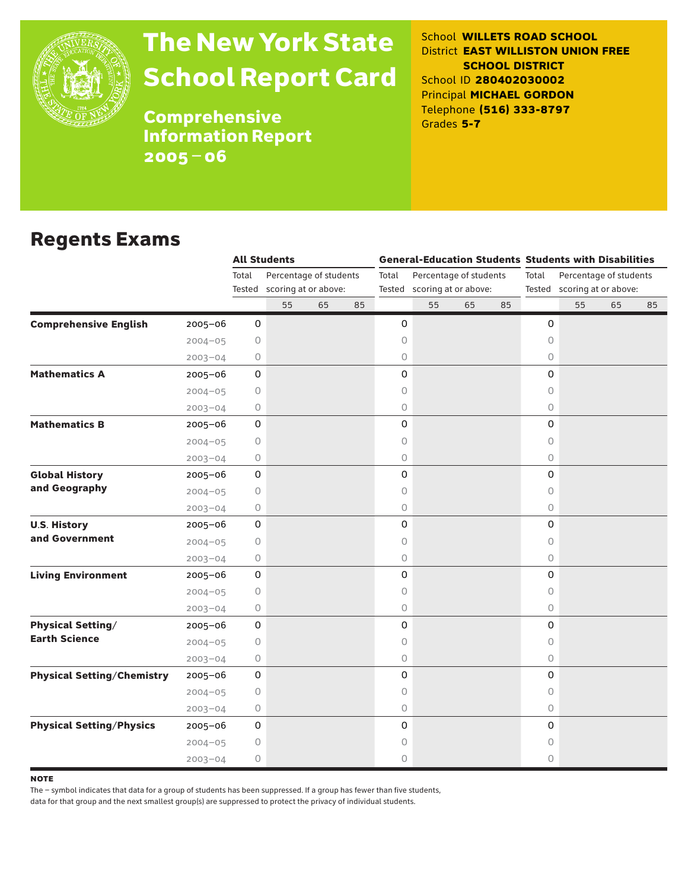

# The New York State School Report Card

School **WILLETS ROAD SCHOOL** District **EAST WILLISTON UNION FREE SCHOOL DISTRICT** School ID **280402030002** Principal **MICHAEL GORDON** Telephone **(516) 333-8797** Grades **5-7**

**Comprehensive** Information Report 2005–06

### Regents Exams

|                                   |             |                 | <b>All Students</b>                            |    |    | <b>General-Education Students Students with Disabilities</b> |                                                       |    |    |            |    |                                                       |    |  |
|-----------------------------------|-------------|-----------------|------------------------------------------------|----|----|--------------------------------------------------------------|-------------------------------------------------------|----|----|------------|----|-------------------------------------------------------|----|--|
|                                   |             | Total<br>Tested | Percentage of students<br>scoring at or above: |    |    | Total                                                        | Percentage of students<br>Tested scoring at or above: |    |    | Total      |    | Percentage of students<br>Tested scoring at or above: |    |  |
|                                   |             |                 | 55                                             | 65 | 85 |                                                              | 55                                                    | 65 | 85 |            | 55 | 65                                                    | 85 |  |
| <b>Comprehensive English</b>      | $2005 - 06$ | 0               |                                                |    |    | 0                                                            |                                                       |    |    | 0          |    |                                                       |    |  |
|                                   | $2004 - 05$ | 0               |                                                |    |    | 0                                                            |                                                       |    |    | $\circ$    |    |                                                       |    |  |
|                                   | $2003 - 04$ | 0               |                                                |    |    | 0                                                            |                                                       |    |    | $\circ$    |    |                                                       |    |  |
| <b>Mathematics A</b>              | $2005 - 06$ | 0               |                                                |    |    | 0                                                            |                                                       |    |    | 0          |    |                                                       |    |  |
|                                   | $2004 - 05$ | 0               |                                                |    |    | 0                                                            |                                                       |    |    | $\circ$    |    |                                                       |    |  |
|                                   | $2003 - 04$ | 0               |                                                |    |    | 0                                                            |                                                       |    |    | 0          |    |                                                       |    |  |
| <b>Mathematics B</b>              | 2005-06     | 0               |                                                |    |    | 0                                                            |                                                       |    |    | 0          |    |                                                       |    |  |
|                                   | $2004 - 05$ | $\circ$         |                                                |    |    | $\circ$                                                      |                                                       |    |    | 0          |    |                                                       |    |  |
|                                   | $2003 - 04$ | 0               |                                                |    |    | 0                                                            |                                                       |    |    | 0          |    |                                                       |    |  |
| <b>Global History</b>             | $2005 - 06$ | 0               |                                                |    |    | 0                                                            |                                                       |    |    | 0          |    |                                                       |    |  |
| and Geography                     | $2004 - 05$ | 0               |                                                |    |    | 0                                                            |                                                       |    |    | $\circ$    |    |                                                       |    |  |
|                                   | $2003 - 04$ | 0               |                                                |    |    | 0                                                            |                                                       |    |    | $\bigcirc$ |    |                                                       |    |  |
| <b>U.S. History</b>               | $2005 - 06$ | $\mathbf 0$     |                                                |    |    | 0                                                            |                                                       |    |    | 0          |    |                                                       |    |  |
| and Government                    | $2004 - 05$ | 0               |                                                |    |    | 0                                                            |                                                       |    |    | $\circ$    |    |                                                       |    |  |
|                                   | $2003 - 04$ | 0               |                                                |    |    | 0                                                            |                                                       |    |    | 0          |    |                                                       |    |  |
| <b>Living Environment</b>         | $2005 - 06$ | 0               |                                                |    |    | 0                                                            |                                                       |    |    | 0          |    |                                                       |    |  |
|                                   | $2004 - 05$ | $\circ$         |                                                |    |    | 0                                                            |                                                       |    |    | $\circ$    |    |                                                       |    |  |
|                                   | $2003 - 04$ | 0               |                                                |    |    | 0                                                            |                                                       |    |    | $\circ$    |    |                                                       |    |  |
| <b>Physical Setting/</b>          | 2005-06     | 0               |                                                |    |    | 0                                                            |                                                       |    |    | 0          |    |                                                       |    |  |
| <b>Earth Science</b>              | $2004 - 05$ | 0               |                                                |    |    | 0                                                            |                                                       |    |    | $\circ$    |    |                                                       |    |  |
|                                   | $2003 - 04$ | $\circ$         |                                                |    |    | 0                                                            |                                                       |    |    | 0          |    |                                                       |    |  |
| <b>Physical Setting/Chemistry</b> | $2005 - 06$ | $\mathbf 0$     |                                                |    |    | 0                                                            |                                                       |    |    | 0          |    |                                                       |    |  |
|                                   | $2004 - 05$ | 0               |                                                |    |    | 0                                                            |                                                       |    |    | 0          |    |                                                       |    |  |
|                                   | $2003 - 04$ | 0               |                                                |    |    | 0                                                            |                                                       |    |    | $\bigcirc$ |    |                                                       |    |  |
| <b>Physical Setting/Physics</b>   | $2005 - 06$ | 0               |                                                |    |    | 0                                                            |                                                       |    |    | 0          |    |                                                       |    |  |
|                                   | $2004 - 05$ | $\bigcirc$      |                                                |    |    | 0                                                            |                                                       |    |    | 0          |    |                                                       |    |  |
|                                   | $2003 - 04$ | 0               |                                                |    |    | 0                                                            |                                                       |    |    | $\circ$    |    |                                                       |    |  |

**NOTE** 

The – symbol indicates that data for a group of students has been suppressed. If a group has fewer than five students,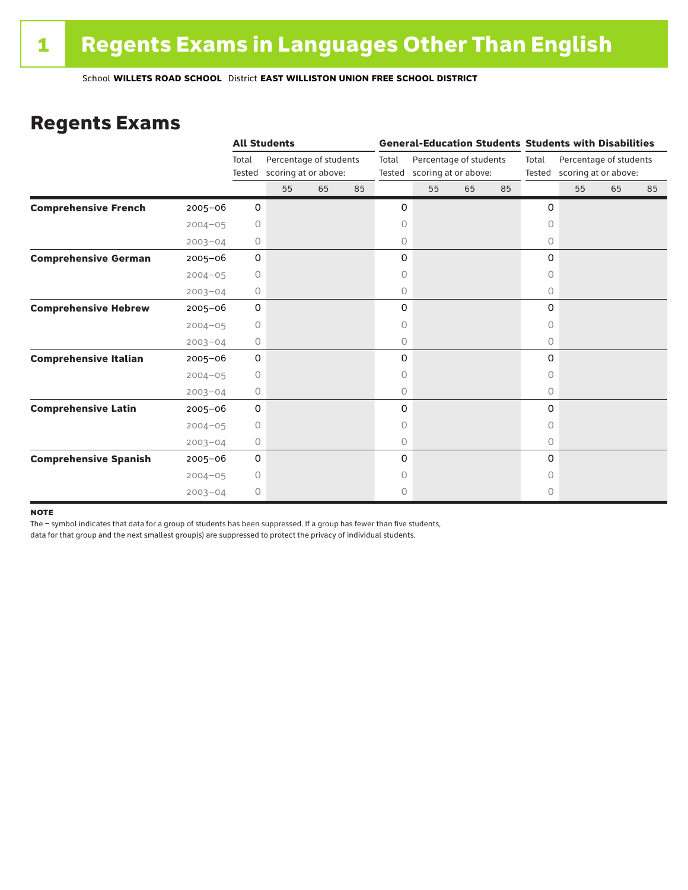### Regents Exams

|                              |             |                 | <b>All Students</b>                            |    |                 |                                                | <b>General-Education Students Students with Disabilities</b> |    |       |                                                       |    |    |    |  |
|------------------------------|-------------|-----------------|------------------------------------------------|----|-----------------|------------------------------------------------|--------------------------------------------------------------|----|-------|-------------------------------------------------------|----|----|----|--|
|                              |             | Total<br>Tested | Percentage of students<br>scoring at or above: |    | Total<br>Tested | Percentage of students<br>scoring at or above: |                                                              |    | Total | Percentage of students<br>Tested scoring at or above: |    |    |    |  |
|                              |             |                 | 55                                             | 65 | 85              |                                                | 55                                                           | 65 | 85    |                                                       | 55 | 65 | 85 |  |
| <b>Comprehensive French</b>  | $2005 - 06$ | 0               |                                                |    |                 | 0                                              |                                                              |    |       | 0                                                     |    |    |    |  |
|                              | $2004 - 05$ | 0               |                                                |    |                 | 0                                              |                                                              |    |       | $\circ$                                               |    |    |    |  |
|                              | $2003 - 04$ | 0               |                                                |    |                 | 0                                              |                                                              |    |       | 0                                                     |    |    |    |  |
| <b>Comprehensive German</b>  | $2005 - 06$ | 0               |                                                |    |                 | 0                                              |                                                              |    |       | 0                                                     |    |    |    |  |
|                              | $2004 - 05$ | $\circ$         |                                                |    |                 | 0                                              |                                                              |    |       | 0                                                     |    |    |    |  |
|                              | $2003 - 04$ | 0               |                                                |    |                 | 0                                              |                                                              |    |       | 0                                                     |    |    |    |  |
| <b>Comprehensive Hebrew</b>  | $2005 - 06$ | 0               |                                                |    |                 | 0                                              |                                                              |    |       | 0                                                     |    |    |    |  |
|                              | $2004 - 05$ | 0               |                                                |    |                 | 0                                              |                                                              |    |       | 0                                                     |    |    |    |  |
|                              | $2003 - 04$ | 0               |                                                |    |                 | 0                                              |                                                              |    |       | $\circ$                                               |    |    |    |  |
| <b>Comprehensive Italian</b> | 2005-06     | 0               |                                                |    |                 | 0                                              |                                                              |    |       | 0                                                     |    |    |    |  |
|                              | $2004 - 05$ | 0               |                                                |    |                 | 0                                              |                                                              |    |       | 0                                                     |    |    |    |  |
|                              | $2003 - 04$ | 0               |                                                |    |                 | 0                                              |                                                              |    |       | 0                                                     |    |    |    |  |
| <b>Comprehensive Latin</b>   | $2005 - 06$ | 0               |                                                |    |                 | 0                                              |                                                              |    |       | 0                                                     |    |    |    |  |
|                              | $2004 - 05$ | $\circ$         |                                                |    |                 | 0                                              |                                                              |    |       | $\bigcap$                                             |    |    |    |  |
|                              | $2003 - 04$ | 0               |                                                |    |                 | 0                                              |                                                              |    |       | $\circ$                                               |    |    |    |  |
| <b>Comprehensive Spanish</b> | $2005 - 06$ | 0               |                                                |    |                 | 0                                              |                                                              |    |       | $\Omega$                                              |    |    |    |  |
|                              | $2004 - 05$ | 0               |                                                |    |                 | 0                                              |                                                              |    |       | Ω                                                     |    |    |    |  |
|                              | $2003 - 04$ | $\circ$         |                                                |    |                 | 0                                              |                                                              |    |       | 0                                                     |    |    |    |  |

#### **NOTE**

The – symbol indicates that data for a group of students has been suppressed. If a group has fewer than five students,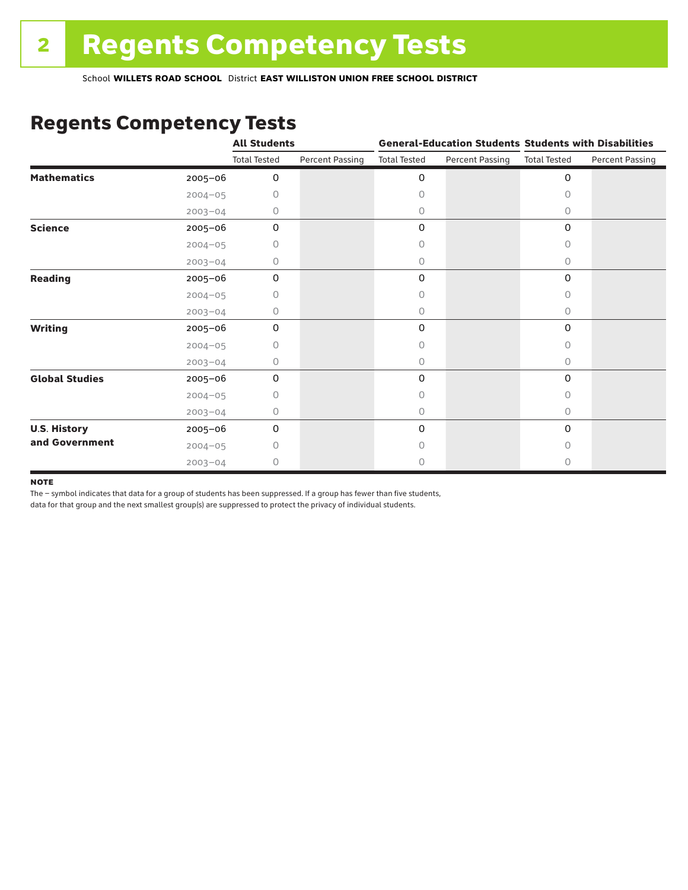### Regents Competency Tests

|                       |             | <b>All Students</b> |                        |                     |                        | <b>General-Education Students Students with Disabilities</b> |                        |  |
|-----------------------|-------------|---------------------|------------------------|---------------------|------------------------|--------------------------------------------------------------|------------------------|--|
|                       |             | <b>Total Tested</b> | <b>Percent Passing</b> | <b>Total Tested</b> | <b>Percent Passing</b> | <b>Total Tested</b>                                          | <b>Percent Passing</b> |  |
| <b>Mathematics</b>    | 2005-06     | 0                   |                        | 0                   |                        | $\mathbf 0$                                                  |                        |  |
|                       | $2004 - 05$ | 0                   |                        | 0                   |                        | $\Omega$                                                     |                        |  |
|                       | $2003 - 04$ | 0                   |                        | 0                   |                        | 0                                                            |                        |  |
| <b>Science</b>        | 2005-06     | 0                   |                        | 0                   |                        | $\mathbf 0$                                                  |                        |  |
|                       | $2004 - 05$ | 0                   |                        | 0                   |                        | 0                                                            |                        |  |
|                       | $2003 - 04$ | 0                   |                        | 0                   |                        | 0                                                            |                        |  |
| <b>Reading</b>        | 2005-06     | 0                   |                        | 0                   |                        | 0                                                            |                        |  |
|                       | $2004 - 05$ | 0                   |                        | 0                   |                        | 0                                                            |                        |  |
|                       | $2003 - 04$ | 0                   |                        | 0                   |                        | 0                                                            |                        |  |
| <b>Writing</b>        | 2005-06     | 0                   |                        | 0                   |                        | $\mathbf 0$                                                  |                        |  |
|                       | $2004 - 05$ | 0                   |                        | 0                   |                        | $\Omega$                                                     |                        |  |
|                       | $2003 - 04$ | 0                   |                        | 0                   |                        | $\circ$                                                      |                        |  |
| <b>Global Studies</b> | 2005-06     | $\mathbf 0$         |                        | 0                   |                        | 0                                                            |                        |  |
|                       | $2004 - 05$ | 0                   |                        | 0                   |                        | 0                                                            |                        |  |
|                       | $2003 - 04$ | 0                   |                        | 0                   |                        | $\circ$                                                      |                        |  |
| <b>U.S. History</b>   | 2005-06     | 0                   |                        | 0                   |                        | $\mathbf 0$                                                  |                        |  |
| and Government        | $2004 - 05$ | Ω                   |                        | Ω                   |                        | 0                                                            |                        |  |
|                       | $2003 - 04$ | 0                   |                        | 0                   |                        | 0                                                            |                        |  |

#### **NOTE**

The – symbol indicates that data for a group of students has been suppressed. If a group has fewer than five students,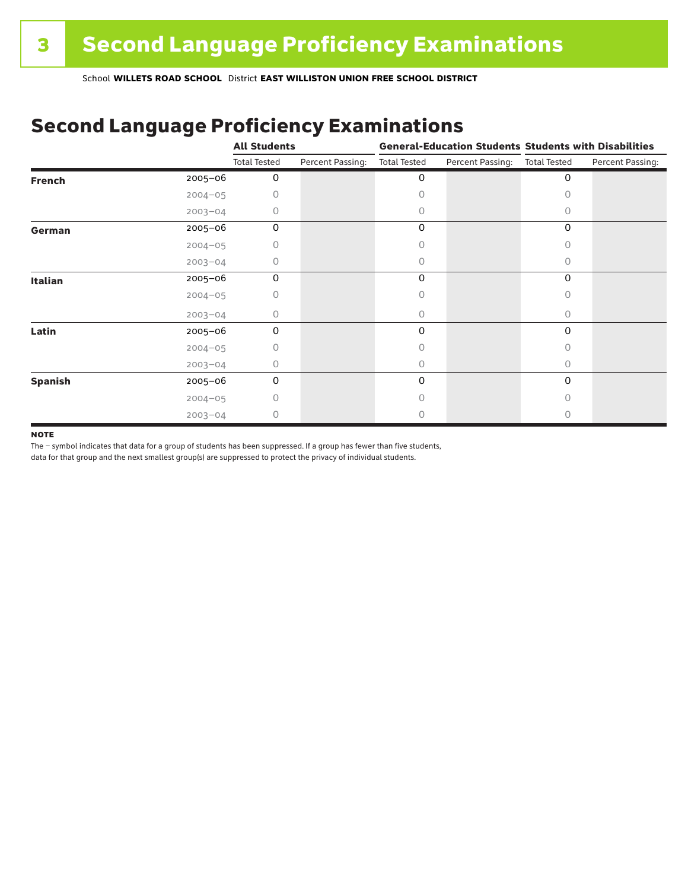### Second Language Proficiency Examinations

|                |             | <b>All Students</b> |                  | <b>General-Education Students Students with Disabilities</b> |                  |                     |                  |
|----------------|-------------|---------------------|------------------|--------------------------------------------------------------|------------------|---------------------|------------------|
|                |             | <b>Total Tested</b> | Percent Passing: | <b>Total Tested</b>                                          | Percent Passing: | <b>Total Tested</b> | Percent Passing: |
| <b>French</b>  | 2005-06     | 0                   |                  | 0                                                            |                  | 0                   |                  |
|                | $2004 - 05$ | 0                   |                  | Ω                                                            |                  |                     |                  |
|                | $2003 - 04$ | 0                   |                  | 0                                                            |                  | Ω                   |                  |
| German         | 2005-06     | 0                   |                  | 0                                                            |                  | 0                   |                  |
|                | $2004 - 05$ | 0                   |                  |                                                              |                  | 0                   |                  |
|                | $2003 - 04$ | 0                   |                  | 0                                                            |                  | 0                   |                  |
| <b>Italian</b> | 2005-06     | 0                   |                  | 0                                                            |                  | 0                   |                  |
|                | $2004 - 05$ | 0                   |                  | Ω                                                            |                  |                     |                  |
|                | $2003 - 04$ | 0                   |                  | 0                                                            |                  | 0                   |                  |
| Latin          | 2005-06     | 0                   |                  | 0                                                            |                  | 0                   |                  |
|                | $2004 - 05$ | 0                   |                  |                                                              |                  |                     |                  |
|                | $2003 - 04$ | 0                   |                  | 0                                                            |                  | 0                   |                  |
| <b>Spanish</b> | 2005-06     | 0                   |                  | 0                                                            |                  | 0                   |                  |
|                | $2004 - 05$ | 0                   |                  | Ω                                                            |                  | Ω                   |                  |
|                | $2003 - 04$ | 0                   |                  |                                                              |                  |                     |                  |

#### **NOTE**

The – symbol indicates that data for a group of students has been suppressed. If a group has fewer than five students,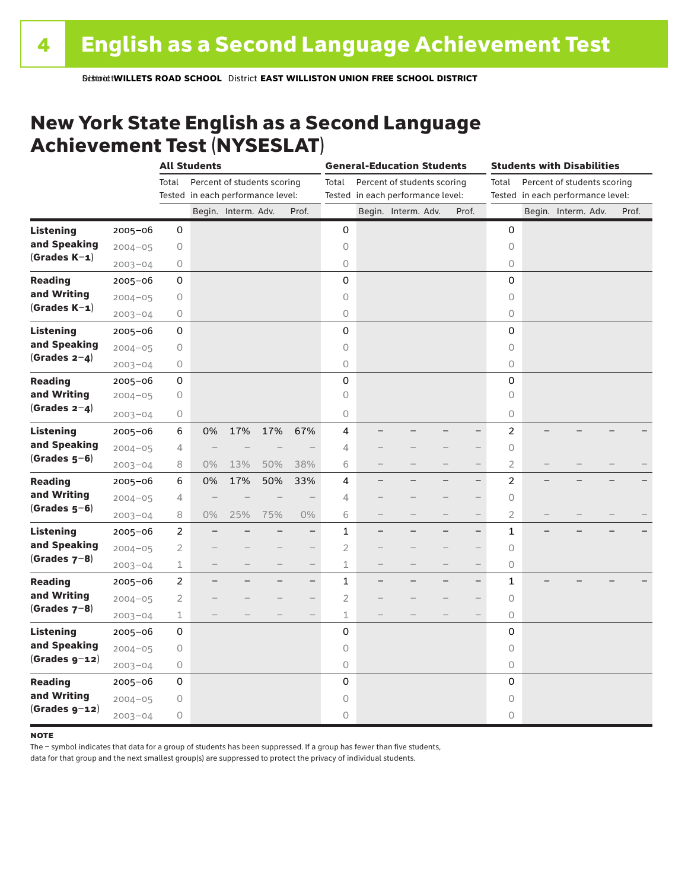### New York State English as a Second Language Achievement Test (NYSESLAT)

|                  |             | <b>All Students</b> |                                   |                             | <b>General-Education Students</b> |                          |                |  | <b>Students with Disabilities</b> |  |                          |                                      |                                   |                     |  |       |
|------------------|-------------|---------------------|-----------------------------------|-----------------------------|-----------------------------------|--------------------------|----------------|--|-----------------------------------|--|--------------------------|--------------------------------------|-----------------------------------|---------------------|--|-------|
|                  |             | Total               |                                   | Percent of students scoring |                                   |                          | Total          |  | Percent of students scoring       |  |                          | Percent of students scoring<br>Total |                                   |                     |  |       |
|                  |             |                     | Tested in each performance level: |                             |                                   |                          |                |  | Tested in each performance level: |  |                          |                                      | Tested in each performance level: |                     |  |       |
|                  |             |                     |                                   | Begin. Interm. Adv.         |                                   | Prof.                    |                |  | Begin. Interm. Adv.               |  | Prof.                    |                                      |                                   | Begin. Interm. Adv. |  | Prof. |
| <b>Listening</b> | $2005 - 06$ | 0                   |                                   |                             |                                   |                          | 0              |  |                                   |  |                          | 0                                    |                                   |                     |  |       |
| and Speaking     | $2004 - 05$ | 0                   |                                   |                             |                                   |                          | $\circ$        |  |                                   |  |                          | 0                                    |                                   |                     |  |       |
| $(Grades K-1)$   | $2003 - 04$ | 0                   |                                   |                             |                                   |                          | 0              |  |                                   |  |                          | 0                                    |                                   |                     |  |       |
| <b>Reading</b>   | $2005 - 06$ | 0                   |                                   |                             |                                   |                          | 0              |  |                                   |  |                          | 0                                    |                                   |                     |  |       |
| and Writing      | $2004 - 05$ | 0                   |                                   |                             |                                   |                          | $\circ$        |  |                                   |  |                          | 0                                    |                                   |                     |  |       |
| $(Grades K-1)$   | $2003 - 04$ | 0                   |                                   |                             |                                   |                          | $\mathsf O$    |  |                                   |  |                          | 0                                    |                                   |                     |  |       |
| Listening        | $2005 - 06$ | 0                   |                                   |                             |                                   |                          | $\mathsf 0$    |  |                                   |  |                          | 0                                    |                                   |                     |  |       |
| and Speaking     | $2004 - 05$ | 0                   |                                   |                             |                                   |                          | $\circ$        |  |                                   |  |                          | 0                                    |                                   |                     |  |       |
| (Grades $2-4$ )  | $2003 - 04$ | $\circ$             |                                   |                             |                                   |                          | $\circ$        |  |                                   |  |                          | 0                                    |                                   |                     |  |       |
| <b>Reading</b>   | 2005-06     | 0                   |                                   |                             |                                   |                          | 0              |  |                                   |  |                          | 0                                    |                                   |                     |  |       |
| and Writing      | $2004 - 05$ | 0                   |                                   |                             |                                   |                          | $\circ$        |  |                                   |  |                          | $\Omega$                             |                                   |                     |  |       |
| (Grades $2-4$ )  | $2003 - 04$ | 0                   |                                   |                             |                                   |                          | 0              |  |                                   |  |                          | 0                                    |                                   |                     |  |       |
| <b>Listening</b> | $2005 - 06$ | 6                   | 0%                                | 17%                         | 17%                               | 67%                      | 4              |  |                                   |  |                          | 2                                    |                                   |                     |  |       |
| and Speaking     | $2004 - 05$ | 4                   |                                   |                             |                                   |                          | 4              |  |                                   |  | $\overline{\phantom{0}}$ | 0                                    |                                   |                     |  |       |
| $(Grades 5-6)$   | $2003 - 04$ | 8                   | $0\%$                             | 13%                         | 50%                               | 38%                      | 6              |  |                                   |  |                          | $\overline{2}$                       |                                   |                     |  |       |
| <b>Reading</b>   | $2005 - 06$ | 6                   | 0%                                | 17%                         | 50%                               | 33%                      | 4              |  |                                   |  | $\overline{\phantom{0}}$ | 2                                    |                                   |                     |  |       |
| and Writing      | $2004 - 05$ | 4                   |                                   |                             |                                   |                          | 4              |  |                                   |  | $\qquad \qquad -$        | 0                                    |                                   |                     |  |       |
| $(Grades 5-6)$   | $2003 - 04$ | 8                   | $0\%$                             | 25%                         | 75%                               | 0%                       | 6              |  |                                   |  | $\overline{\phantom{0}}$ | $\overline{2}$                       |                                   |                     |  |       |
| <b>Listening</b> | $2005 - 06$ | $\overline{c}$      |                                   |                             |                                   | —                        | $\mathbf{1}$   |  |                                   |  | $\qquad \qquad -$        | $\mathbf 1$                          |                                   |                     |  |       |
| and Speaking     | $2004 - 05$ | $\mathbf{2}$        |                                   |                             |                                   | $-$                      | $\overline{c}$ |  |                                   |  |                          | $\bigcirc$                           |                                   |                     |  |       |
| $(Grades 7-8)$   | $2003 - 04$ | $\mathbf 1$         |                                   |                             |                                   | $\overline{\phantom{0}}$ | 1              |  |                                   |  | $\qquad \qquad -$        | 0                                    |                                   |                     |  |       |
| <b>Reading</b>   | $2005 - 06$ | 2                   |                                   |                             |                                   | $\overline{\phantom{0}}$ | $\mathbf{1}$   |  |                                   |  | $\overline{\phantom{0}}$ | $\mathbf{1}$                         |                                   |                     |  |       |
| and Writing      | $2004 - 05$ | $\overline{2}$      |                                   |                             |                                   | $-$                      | $\overline{2}$ |  |                                   |  | $\overline{\phantom{0}}$ | 0                                    |                                   |                     |  |       |
| $(Grades 7-8)$   | $2003 - 04$ | $\perp$             |                                   |                             |                                   |                          | 1              |  |                                   |  |                          | 0                                    |                                   |                     |  |       |
| <b>Listening</b> | $2005 - 06$ | 0                   |                                   |                             |                                   |                          | 0              |  |                                   |  |                          | 0                                    |                                   |                     |  |       |
| and Speaking     | $2004 - 05$ | 0                   |                                   |                             |                                   |                          | $\circ$        |  |                                   |  |                          | 0                                    |                                   |                     |  |       |
| $(Grades g-12)$  | $2003 - 04$ | 0                   |                                   |                             |                                   |                          | $\bigcirc$     |  |                                   |  |                          | $\bigcirc$                           |                                   |                     |  |       |
| <b>Reading</b>   | $2005 - 06$ | 0                   |                                   |                             |                                   |                          | 0              |  |                                   |  |                          | 0                                    |                                   |                     |  |       |
| and Writing      | $2004 - 05$ | $\bigcirc$          |                                   |                             |                                   |                          | 0              |  |                                   |  |                          | 0                                    |                                   |                     |  |       |
| $(Grades g-12)$  | $2003 - 04$ | 0                   |                                   |                             |                                   |                          | 0              |  |                                   |  |                          | 0                                    |                                   |                     |  |       |

#### **NOTE**

The – symbol indicates that data for a group of students has been suppressed. If a group has fewer than five students,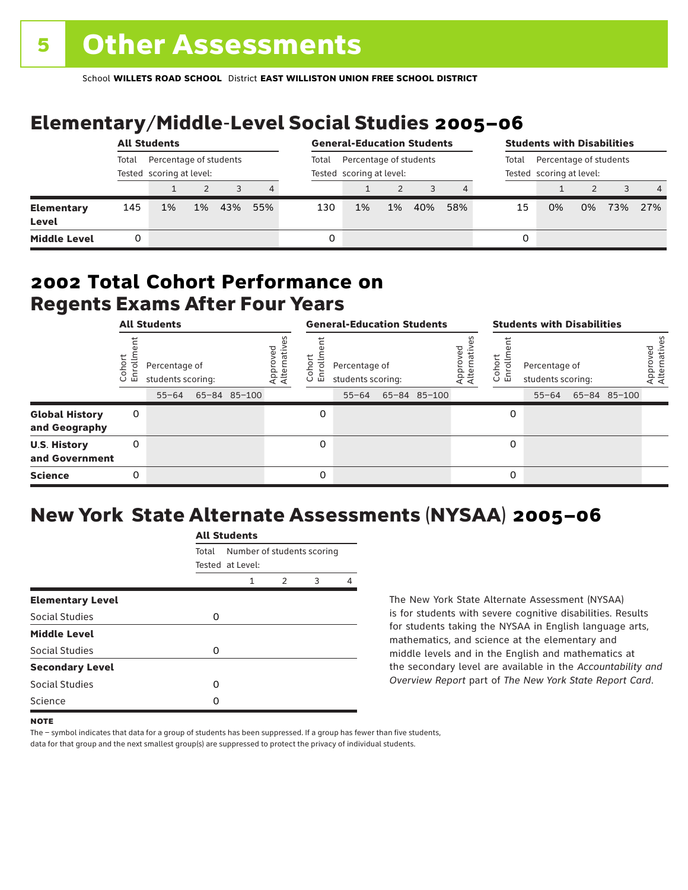## Elementary/Middle-Level Social Studies 2005–06

|                                   | <b>All Students</b>                                         |    |    |     |       | <b>General-Education Students</b>                  |       |       |     | <b>Students with Disabilities</b>                           |    |    |    |     |                |
|-----------------------------------|-------------------------------------------------------------|----|----|-----|-------|----------------------------------------------------|-------|-------|-----|-------------------------------------------------------------|----|----|----|-----|----------------|
|                                   | Percentage of students<br>Total<br>Tested scoring at level: |    |    |     | Total | Percentage of students<br>Tested scoring at level: |       |       |     | Percentage of students<br>Total<br>Tested scoring at level: |    |    |    |     |                |
|                                   |                                                             |    |    |     | 4     |                                                    |       |       |     |                                                             |    |    |    |     | $\overline{4}$ |
| <b>Elementary</b><br><b>Level</b> | 145                                                         | 1% | 1% | 43% | 55%   | 130                                                | $1\%$ | $1\%$ | 40% | 58%                                                         | 15 | 0% | 0% | 73% | 27%            |
| <b>Middle Level</b>               | 0                                                           |    |    |     |       | 0                                                  |       |       |     |                                                             | 0  |    |    |     |                |

### Regents Exams After Four Years 2002 **Total Cohort Performance on**

| <b>All Students</b>                    |                |                                                 |  | <b>General-Education Students</b> |                         |                                    |                                                 |  | <b>Students with Disabilities</b> |                         |                  |                                                 |  |              |                          |
|----------------------------------------|----------------|-------------------------------------------------|--|-----------------------------------|-------------------------|------------------------------------|-------------------------------------------------|--|-----------------------------------|-------------------------|------------------|-------------------------------------------------|--|--------------|--------------------------|
|                                        | oho<br>ō<br>ごこ | Percentage of<br>students scoring:<br>$55 - 64$ |  | 65-84 85-100                      | Approved<br>Alternative | <u>م</u><br>$\circ$<br>屲<br>$\cup$ | Percentage of<br>students scoring:<br>$55 - 64$ |  | 65-84 85-100                      | Approved<br>Alternative | Cohort<br>5<br>훕 | Percentage of<br>students scoring:<br>$55 - 64$ |  | 65-84 85-100 | Approved<br>Alternatives |
| <b>Global History</b><br>and Geography | 0              |                                                 |  |                                   |                         | 0                                  |                                                 |  |                                   |                         | 0                |                                                 |  |              |                          |
| <b>U.S. History</b><br>and Government  | 0              |                                                 |  |                                   |                         | 0                                  |                                                 |  |                                   |                         | 0                |                                                 |  |              |                          |
| <b>Science</b>                         | 0              |                                                 |  |                                   |                         | $\Omega$                           |                                                 |  |                                   |                         | 0                |                                                 |  |              |                          |

## New York State Alternate Assessments (NYSAA) 2005–06

|                         |       | All Students                                   |   |   |   |  |  |  |  |  |  |
|-------------------------|-------|------------------------------------------------|---|---|---|--|--|--|--|--|--|
|                         | Total | Number of students scoring<br>Tested at Level: |   |   |   |  |  |  |  |  |  |
|                         |       | 1                                              | 2 | 3 | 4 |  |  |  |  |  |  |
| <b>Elementary Level</b> |       |                                                |   |   |   |  |  |  |  |  |  |
| Social Studies          | 0     |                                                |   |   |   |  |  |  |  |  |  |
| <b>Middle Level</b>     |       |                                                |   |   |   |  |  |  |  |  |  |
| Social Studies          | O     |                                                |   |   |   |  |  |  |  |  |  |
| <b>Secondary Level</b>  |       |                                                |   |   |   |  |  |  |  |  |  |
| Social Studies          | ი     |                                                |   |   |   |  |  |  |  |  |  |
| Science                 | Ω     |                                                |   |   |   |  |  |  |  |  |  |
|                         |       |                                                |   |   |   |  |  |  |  |  |  |

All Canada

The New York State Alternate Assessment (NYSAA) is for students with severe cognitive disabilities. Results for students taking the NYSAA in English language arts, mathematics, and science at the elementary and middle levels and in the English and mathematics at the secondary level are available in the *Accountability and Overview Report* part of *The New York State Report Card*.

The – symbol indicates that data for a group of students has been suppressed. If a group has fewer than five students, data for that group and the next smallest group(s) are suppressed to protect the privacy of individual students.

**NOTE**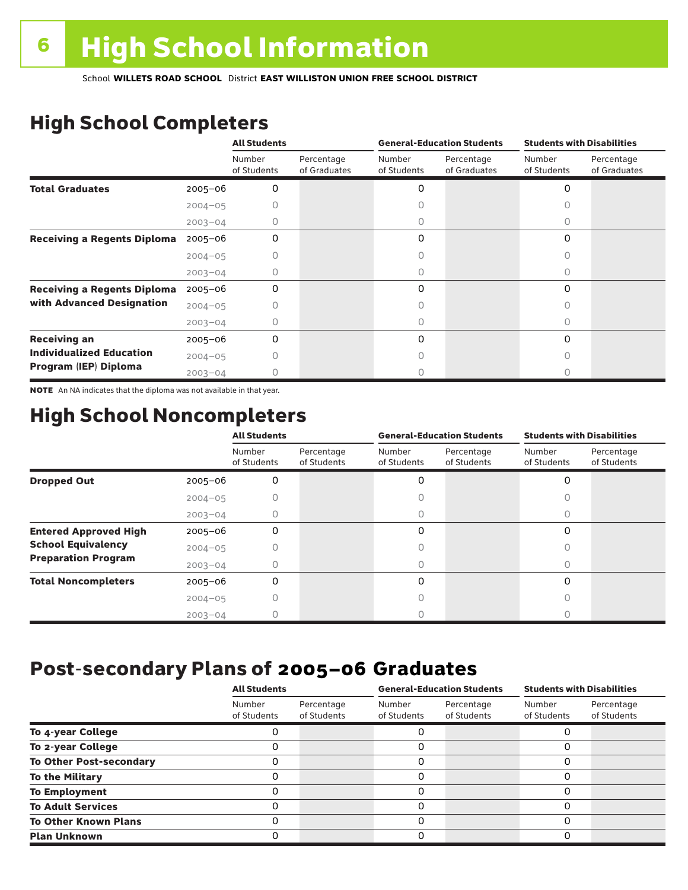## High School Completers

|                                    |             | <b>All Students</b>   |                            |                       | <b>General-Education Students</b> | <b>Students with Disabilities</b> |                            |  |
|------------------------------------|-------------|-----------------------|----------------------------|-----------------------|-----------------------------------|-----------------------------------|----------------------------|--|
|                                    |             | Number<br>of Students | Percentage<br>of Graduates | Number<br>of Students | Percentage<br>of Graduates        | Number<br>of Students             | Percentage<br>of Graduates |  |
| <b>Total Graduates</b>             | $2005 - 06$ | 0                     |                            | 0                     |                                   | $\Omega$                          |                            |  |
|                                    | $2004 - 05$ |                       |                            |                       |                                   |                                   |                            |  |
|                                    | $2003 - 04$ |                       |                            | O                     |                                   | 0                                 |                            |  |
| <b>Receiving a Regents Diploma</b> | $2005 - 06$ | 0                     |                            | 0                     |                                   | 0                                 |                            |  |
|                                    | $2004 - 05$ |                       |                            |                       |                                   | Ω                                 |                            |  |
|                                    | $2003 - 04$ |                       |                            |                       |                                   |                                   |                            |  |
| <b>Receiving a Regents Diploma</b> | $2005 - 06$ | 0                     |                            | 0                     |                                   | $\Omega$                          |                            |  |
| with Advanced Designation          | $2004 - 05$ |                       |                            |                       |                                   | Ω                                 |                            |  |
|                                    | $2003 - 04$ |                       |                            |                       |                                   | Ω                                 |                            |  |
| <b>Receiving an</b>                | $2005 - 06$ | 0                     |                            | 0                     |                                   | 0                                 |                            |  |
| <b>Individualized Education</b>    | $2004 - 05$ |                       |                            |                       |                                   |                                   |                            |  |
| Program (IEP) Diploma              | $2003 - 04$ |                       |                            |                       |                                   | Λ                                 |                            |  |

NOTE An NA indicates that the diploma was not available in that year.

### High School Noncompleters

|                              |             | <b>All Students</b>   |                           | <b>General-Education Students</b> |                           | <b>Students with Disabilities</b> |                           |  |
|------------------------------|-------------|-----------------------|---------------------------|-----------------------------------|---------------------------|-----------------------------------|---------------------------|--|
|                              |             | Number<br>of Students | Percentage<br>of Students | Number<br>of Students             | Percentage<br>of Students | Number<br>of Students             | Percentage<br>of Students |  |
| <b>Dropped Out</b>           | $2005 - 06$ | 0                     |                           | 0                                 |                           | $\Omega$                          |                           |  |
|                              | $2004 - 05$ |                       |                           |                                   |                           |                                   |                           |  |
|                              | $2003 - 04$ |                       |                           | U                                 |                           | 0                                 |                           |  |
| <b>Entered Approved High</b> | $2005 - 06$ | 0                     |                           | 0                                 |                           | $\Omega$                          |                           |  |
| <b>School Equivalency</b>    | $2004 - 05$ | Ω                     |                           | U                                 |                           | 0                                 |                           |  |
| <b>Preparation Program</b>   | $2003 - 04$ | 0                     |                           | 0                                 |                           | 0                                 |                           |  |
| <b>Total Noncompleters</b>   | $2005 - 06$ | 0                     |                           | 0                                 |                           | $\Omega$                          |                           |  |
|                              | $2004 - 05$ | 0                     |                           | 0                                 |                           | 0                                 |                           |  |
|                              | $2003 - 04$ |                       |                           |                                   |                           |                                   |                           |  |

### Post-secondary Plans of 2005–06 **Graduates**

|                                | <b>All Students</b>   |                           |                       | <b>General-Education Students</b> | <b>Students with Disabilities</b> |                           |  |
|--------------------------------|-----------------------|---------------------------|-----------------------|-----------------------------------|-----------------------------------|---------------------------|--|
|                                | Number<br>of Students | Percentage<br>of Students | Number<br>of Students | Percentage<br>of Students         | Number<br>of Students             | Percentage<br>of Students |  |
| To 4-year College              |                       |                           |                       |                                   |                                   |                           |  |
| To 2-year College              |                       |                           | 0                     |                                   | 0                                 |                           |  |
| <b>To Other Post-secondary</b> |                       |                           | ი                     |                                   | 0                                 |                           |  |
| <b>To the Military</b>         |                       |                           | ი                     |                                   | 0                                 |                           |  |
| <b>To Employment</b>           |                       |                           | 0                     |                                   | 0                                 |                           |  |
| <b>To Adult Services</b>       |                       |                           |                       |                                   | O                                 |                           |  |
| <b>To Other Known Plans</b>    |                       |                           | 0                     |                                   | 0                                 |                           |  |
| <b>Plan Unknown</b>            |                       |                           |                       |                                   | 0                                 |                           |  |